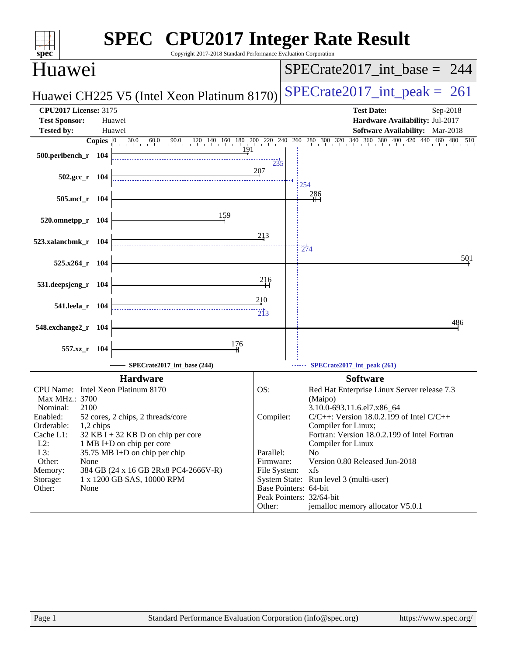| spec                                                           | <b>SPEC<sup>®</sup></b> CPU2017 Integer Rate Result<br>Copyright 2017-2018 Standard Performance Evaluation Corporation |                           |                                                                                                                                              |
|----------------------------------------------------------------|------------------------------------------------------------------------------------------------------------------------|---------------------------|----------------------------------------------------------------------------------------------------------------------------------------------|
| Huawei                                                         |                                                                                                                        |                           | $SPECrate2017\_int\_base = 244$                                                                                                              |
|                                                                | Huawei CH225 V5 (Intel Xeon Platinum 8170)                                                                             |                           | $SPECTate2017\_int\_peak = 261$                                                                                                              |
| <b>CPU2017 License: 3175</b><br><b>Test Sponsor:</b><br>Huawei |                                                                                                                        |                           | <b>Test Date:</b><br>Sep-2018<br>Hardware Availability: Jul-2017                                                                             |
| <b>Tested by:</b><br>Huawei                                    |                                                                                                                        |                           | <b>Software Availability:</b> Mar-2018                                                                                                       |
| Copies $ 0\rangle$                                             |                                                                                                                        |                           | $30.0$ $60.0$ $90.0$ $120$ $140$ $160$ $180$ $200$ $220$ $240$ $260$ $280$ $300$ $320$ $340$ $360$ $380$ $400$ $420$ $440$ $460$ $480$ $510$ |
| 500.perlbench_r 104                                            | 191                                                                                                                    | 235                       |                                                                                                                                              |
| $502.\text{gcc r}$ 104                                         |                                                                                                                        | 207                       | 254                                                                                                                                          |
| 505.mcf r 104                                                  |                                                                                                                        |                           | <u>286</u>                                                                                                                                   |
| 520.omnetpp_r 104                                              | 159                                                                                                                    |                           |                                                                                                                                              |
| 523.xalancbmk_r 104                                            |                                                                                                                        | 213                       | 274                                                                                                                                          |
| 525.x264_r 104                                                 |                                                                                                                        |                           | 501                                                                                                                                          |
| 531.deepsjeng_r 104                                            |                                                                                                                        | <u>216</u>                |                                                                                                                                              |
| 541.leela_r 104                                                |                                                                                                                        | 210<br>213                |                                                                                                                                              |
| 548.exchange2_r 104                                            |                                                                                                                        |                           | 486                                                                                                                                          |
| 557.xz_r 104                                                   | 176                                                                                                                    |                           |                                                                                                                                              |
|                                                                | SPECrate2017_int_base (244)                                                                                            |                           | SPECrate2017_int_peak (261)                                                                                                                  |
|                                                                | <b>Hardware</b>                                                                                                        |                           | <b>Software</b>                                                                                                                              |
| CPU Name: Intel Xeon Platinum 8170<br>Max MHz.: 3700           |                                                                                                                        | OS:                       | Red Hat Enterprise Linux Server release 7.3<br>(Maipo)                                                                                       |
| Nominal:<br>2100                                               |                                                                                                                        |                           | 3.10.0-693.11.6.el7.x86_64                                                                                                                   |
| Enabled:<br>52 cores, 2 chips, 2 threads/core<br>Orderable:    |                                                                                                                        | Compiler:                 | $C/C++$ : Version 18.0.2.199 of Intel $C/C++$                                                                                                |
| 1,2 chips<br>Cache L1:                                         | 32 KB I + 32 KB D on chip per core                                                                                     |                           | Compiler for Linux;<br>Fortran: Version 18.0.2.199 of Intel Fortran                                                                          |
| $L2$ :<br>1 MB I+D on chip per core                            |                                                                                                                        |                           | Compiler for Linux                                                                                                                           |
| L3:<br>35.75 MB I+D on chip per chip                           |                                                                                                                        | Parallel:                 | No                                                                                                                                           |
| Other:<br>None<br>Memory:                                      | 384 GB (24 x 16 GB 2Rx8 PC4-2666V-R)                                                                                   | Firmware:<br>File System: | Version 0.80 Released Jun-2018<br>xfs                                                                                                        |
| 1 x 1200 GB SAS, 10000 RPM<br>Storage:                         |                                                                                                                        |                           | System State: Run level 3 (multi-user)                                                                                                       |
| Other:<br>None                                                 |                                                                                                                        |                           | Base Pointers: 64-bit                                                                                                                        |
|                                                                |                                                                                                                        | Other:                    | Peak Pointers: 32/64-bit<br>jemalloc memory allocator V5.0.1                                                                                 |
|                                                                |                                                                                                                        |                           |                                                                                                                                              |
| Page 1                                                         | Standard Performance Evaluation Corporation (info@spec.org)                                                            |                           | https://www.spec.org/                                                                                                                        |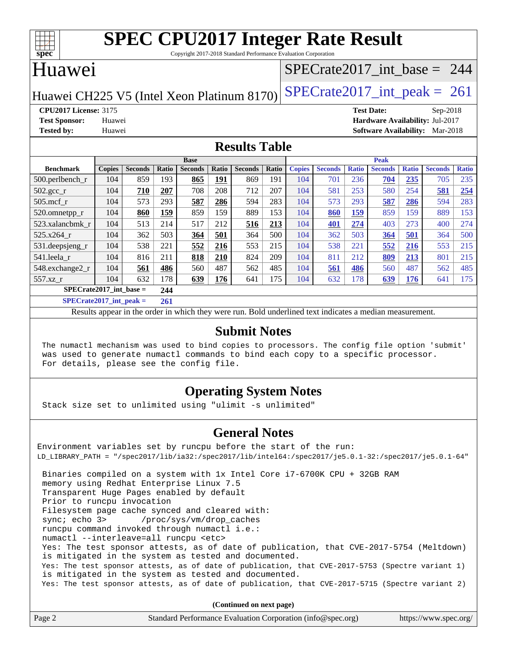| c<br>e<br>L |  |  |  |  |  |
|-------------|--|--|--|--|--|

Copyright 2017-2018 Standard Performance Evaluation Corporation

## Huawei

# [SPECrate2017\\_int\\_base =](http://www.spec.org/auto/cpu2017/Docs/result-fields.html#SPECrate2017intbase) 244

Huawei CH225 V5 (Intel Xeon Platinum 8170) SPECrate  $2017$  int peak = 261

**[CPU2017 License:](http://www.spec.org/auto/cpu2017/Docs/result-fields.html#CPU2017License)** 3175 **[Test Date:](http://www.spec.org/auto/cpu2017/Docs/result-fields.html#TestDate)** Sep-2018 **[Test Sponsor:](http://www.spec.org/auto/cpu2017/Docs/result-fields.html#TestSponsor)** Huawei **[Hardware Availability:](http://www.spec.org/auto/cpu2017/Docs/result-fields.html#HardwareAvailability)** Jul-2017 **[Tested by:](http://www.spec.org/auto/cpu2017/Docs/result-fields.html#Testedby)** Huawei **[Software Availability:](http://www.spec.org/auto/cpu2017/Docs/result-fields.html#SoftwareAvailability)** Mar-2018

### **[Results Table](http://www.spec.org/auto/cpu2017/Docs/result-fields.html#ResultsTable)**

| <b>Base</b>                 |               |                |            |                | <b>Peak</b> |                |       |               |                |              |                |              |                |              |
|-----------------------------|---------------|----------------|------------|----------------|-------------|----------------|-------|---------------|----------------|--------------|----------------|--------------|----------------|--------------|
| <b>Benchmark</b>            | <b>Copies</b> | <b>Seconds</b> | Ratio      | <b>Seconds</b> | Ratio       | <b>Seconds</b> | Ratio | <b>Copies</b> | <b>Seconds</b> | <b>Ratio</b> | <b>Seconds</b> | <b>Ratio</b> | <b>Seconds</b> | <b>Ratio</b> |
| 500.perlbench_r             | 104           | 859            | 193        | 865            | <u>191</u>  | 869            | 191   | 104           | 701            | 236          | 704            | 235          | 705            | 235          |
| $502.\text{gcc}$ _r         | 104           | 710            | 207        | 708            | 208         | 712            | 207   | 104           | 581            | 253          | 580            | 254          | 581            | 254          |
| $505$ .mcf r                | 104           | 573            | 293        | 587            | 286         | 594            | 283   | 104           | 573            | 293          | 587            | 286          | 594            | 283          |
| 520.omnetpp_r               | 104           | 860            | <b>159</b> | 859            | 159         | 889            | 153   | 104           | 860            | <b>159</b>   | 859            | 159          | 889            | 153          |
| 523.xalancbmk r             | 104           | 513            | 214        | 517            | 212         | 516            | 213   | 104           | 401            | 274          | 403            | 273          | 400            | 274          |
| 525.x264 r                  | 104           | 362            | 503        | 364            | 501         | 364            | 500   | 104           | 362            | 503          | 364            | 501          | 364            | 500          |
| 531.deepsjeng_r             | 104           | 538            | 221        | 552            | 216         | 553            | 215   | 104           | 538            | 221          | 552            | 216          | 553            | 215          |
| 541.leela r                 | 104           | 816            | 211        | 818            | 210         | 824            | 209   | 104           | 811            | 212          | 809            | 213          | 801            | 215          |
| 548.exchange2_r             | 104           | 561            | 486        | 560            | 487         | 562            | 485   | 104           | 561            | 486          | 560            | 487          | 562            | 485          |
| 557.xz r                    | 104           | 632            | 178        | 639            | 176         | 641            | 175   | 104           | 632            | 178          | 639            | 176          | 641            | 175          |
| $SPECrate2017$ int base =   |               |                | 244        |                |             |                |       |               |                |              |                |              |                |              |
| $SPECrate2017\_int\_peak =$ |               |                | 261        |                |             |                |       |               |                |              |                |              |                |              |

Results appear in the [order in which they were run](http://www.spec.org/auto/cpu2017/Docs/result-fields.html#RunOrder). Bold underlined text [indicates a median measurement](http://www.spec.org/auto/cpu2017/Docs/result-fields.html#Median).

### **[Submit Notes](http://www.spec.org/auto/cpu2017/Docs/result-fields.html#SubmitNotes)**

 The numactl mechanism was used to bind copies to processors. The config file option 'submit' was used to generate numactl commands to bind each copy to a specific processor. For details, please see the config file.

## **[Operating System Notes](http://www.spec.org/auto/cpu2017/Docs/result-fields.html#OperatingSystemNotes)**

Stack size set to unlimited using "ulimit -s unlimited"

## **[General Notes](http://www.spec.org/auto/cpu2017/Docs/result-fields.html#GeneralNotes)**

Environment variables set by runcpu before the start of the run: LD\_LIBRARY\_PATH = "/spec2017/lib/ia32:/spec2017/lib/intel64:/spec2017/je5.0.1-32:/spec2017/je5.0.1-64" Binaries compiled on a system with 1x Intel Core i7-6700K CPU + 32GB RAM memory using Redhat Enterprise Linux 7.5 Transparent Huge Pages enabled by default Prior to runcpu invocation Filesystem page cache synced and cleared with: sync; echo 3> /proc/sys/vm/drop\_caches runcpu command invoked through numactl i.e.: numactl --interleave=all runcpu <etc> Yes: The test sponsor attests, as of date of publication, that CVE-2017-5754 (Meltdown) is mitigated in the system as tested and documented. Yes: The test sponsor attests, as of date of publication, that CVE-2017-5753 (Spectre variant 1) is mitigated in the system as tested and documented. Yes: The test sponsor attests, as of date of publication, that CVE-2017-5715 (Spectre variant 2)

**(Continued on next page)**

| Page 2 | Standard Performance Evaluation Corporation (info@spec.org) | https://www.spec.org/ |
|--------|-------------------------------------------------------------|-----------------------|
|--------|-------------------------------------------------------------|-----------------------|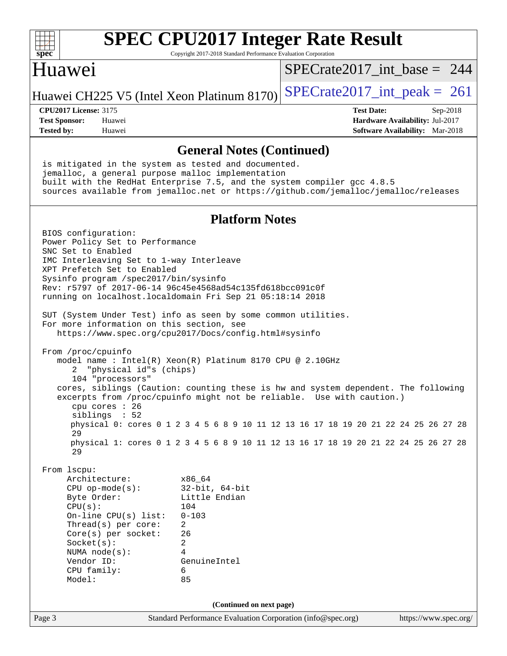| $spec^*$                                                                                                                                                                                                                                                                                                                                                                                                                                                                                                                                                                                                                                                                                                                                                                                                                                                               | Copyright 2017-2018 Standard Performance Evaluation Corporation                                                                  | <b>SPEC CPU2017 Integer Rate Result</b>                                                                                                                                    |                                        |
|------------------------------------------------------------------------------------------------------------------------------------------------------------------------------------------------------------------------------------------------------------------------------------------------------------------------------------------------------------------------------------------------------------------------------------------------------------------------------------------------------------------------------------------------------------------------------------------------------------------------------------------------------------------------------------------------------------------------------------------------------------------------------------------------------------------------------------------------------------------------|----------------------------------------------------------------------------------------------------------------------------------|----------------------------------------------------------------------------------------------------------------------------------------------------------------------------|----------------------------------------|
| Huawei                                                                                                                                                                                                                                                                                                                                                                                                                                                                                                                                                                                                                                                                                                                                                                                                                                                                 |                                                                                                                                  | $SPECrate2017\_int\_base = 244$                                                                                                                                            |                                        |
| Huawei CH225 V5 (Intel Xeon Platinum 8170)                                                                                                                                                                                                                                                                                                                                                                                                                                                                                                                                                                                                                                                                                                                                                                                                                             |                                                                                                                                  | $SPECrate2017\_int\_peak = 261$                                                                                                                                            |                                        |
| <b>CPU2017 License: 3175</b>                                                                                                                                                                                                                                                                                                                                                                                                                                                                                                                                                                                                                                                                                                                                                                                                                                           |                                                                                                                                  | <b>Test Date:</b>                                                                                                                                                          | Sep-2018                               |
| <b>Test Sponsor:</b><br>Huawei                                                                                                                                                                                                                                                                                                                                                                                                                                                                                                                                                                                                                                                                                                                                                                                                                                         |                                                                                                                                  |                                                                                                                                                                            | Hardware Availability: Jul-2017        |
| <b>Tested by:</b><br>Huawei                                                                                                                                                                                                                                                                                                                                                                                                                                                                                                                                                                                                                                                                                                                                                                                                                                            |                                                                                                                                  |                                                                                                                                                                            | <b>Software Availability:</b> Mar-2018 |
|                                                                                                                                                                                                                                                                                                                                                                                                                                                                                                                                                                                                                                                                                                                                                                                                                                                                        | <b>General Notes (Continued)</b>                                                                                                 |                                                                                                                                                                            |                                        |
| is mitigated in the system as tested and documented.<br>jemalloc, a general purpose malloc implementation<br>built with the RedHat Enterprise 7.5, and the system compiler gcc 4.8.5<br>sources available from jemalloc.net or https://github.com/jemalloc/jemalloc/releases                                                                                                                                                                                                                                                                                                                                                                                                                                                                                                                                                                                           |                                                                                                                                  |                                                                                                                                                                            |                                        |
|                                                                                                                                                                                                                                                                                                                                                                                                                                                                                                                                                                                                                                                                                                                                                                                                                                                                        | <b>Platform Notes</b>                                                                                                            |                                                                                                                                                                            |                                        |
| BIOS configuration:<br>Power Policy Set to Performance<br>SNC Set to Enabled<br>IMC Interleaving Set to 1-way Interleave<br>XPT Prefetch Set to Enabled<br>Sysinfo program /spec2017/bin/sysinfo<br>Rev: r5797 of 2017-06-14 96c45e4568ad54c135fd618bcc091c0f<br>running on localhost.localdomain Fri Sep 21 05:18:14 2018<br>SUT (System Under Test) info as seen by some common utilities.<br>For more information on this section, see<br>https://www.spec.org/cpu2017/Docs/config.html#sysinfo<br>From /proc/cpuinfo<br>model name: $Intel(R)$ Xeon $(R)$ Platinum 8170 CPU @ 2.10GHz<br>"physical id"s (chips)<br>104 "processors"<br>cores, siblings (Caution: counting these is hw and system dependent. The following<br>excerpts from /proc/cpuinfo might not be reliable. Use with caution.)<br>cpu cores $: 26$<br>siblings : 52<br>29<br>29<br>From 1scpu: |                                                                                                                                  | physical 0: cores 0 1 2 3 4 5 6 8 9 10 11 12 13 16 17 18 19 20 21 22 24 25 26 27 28<br>physical 1: cores 0 1 2 3 4 5 6 8 9 10 11 12 13 16 17 18 19 20 21 22 24 25 26 27 28 |                                        |
| Architecture:<br>$CPU$ op-mode( $s$ ):<br>Byte Order:<br>CPU(s):<br>On-line $CPU(s)$ list:<br>Thread(s) per core:<br>Core(s) per socket:<br>Socket(s):<br>NUMA $node(s):$<br>Vendor ID:<br>CPU family:<br>Model:                                                                                                                                                                                                                                                                                                                                                                                                                                                                                                                                                                                                                                                       | x86_64<br>$32$ -bit, $64$ -bit<br>Little Endian<br>104<br>$0 - 103$<br>$\overline{a}$<br>26<br>2<br>4<br>GenuineIntel<br>6<br>85 |                                                                                                                                                                            |                                        |
|                                                                                                                                                                                                                                                                                                                                                                                                                                                                                                                                                                                                                                                                                                                                                                                                                                                                        | (Continued on next page)                                                                                                         |                                                                                                                                                                            |                                        |
| Page 3                                                                                                                                                                                                                                                                                                                                                                                                                                                                                                                                                                                                                                                                                                                                                                                                                                                                 | Standard Performance Evaluation Corporation (info@spec.org)                                                                      |                                                                                                                                                                            | https://www.spec.org/                  |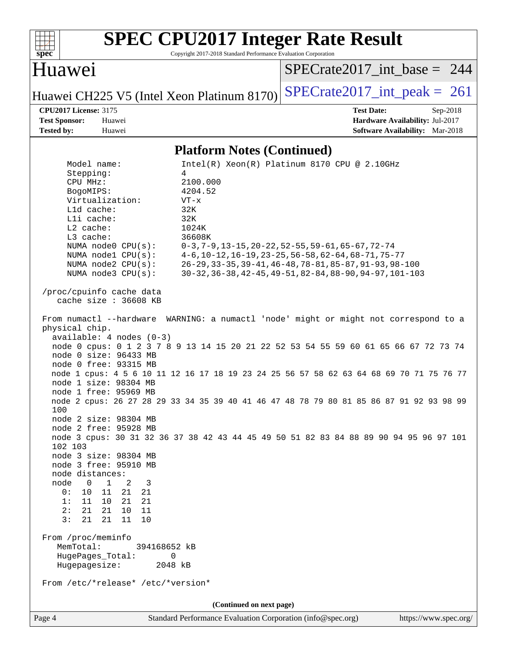

Copyright 2017-2018 Standard Performance Evaluation Corporation

# Huawei

[SPECrate2017\\_int\\_base =](http://www.spec.org/auto/cpu2017/Docs/result-fields.html#SPECrate2017intbase) 244

Huawei CH225 V5 (Intel Xeon Platinum 8170) [SPECrate2017\\_int\\_peak =](http://www.spec.org/auto/cpu2017/Docs/result-fields.html#SPECrate2017intpeak) 261

**[CPU2017 License:](http://www.spec.org/auto/cpu2017/Docs/result-fields.html#CPU2017License)** 3175 **[Test Date:](http://www.spec.org/auto/cpu2017/Docs/result-fields.html#TestDate)** Sep-2018 **[Test Sponsor:](http://www.spec.org/auto/cpu2017/Docs/result-fields.html#TestSponsor)** Huawei **[Hardware Availability:](http://www.spec.org/auto/cpu2017/Docs/result-fields.html#HardwareAvailability)** Jul-2017 **[Tested by:](http://www.spec.org/auto/cpu2017/Docs/result-fields.html#Testedby)** Huawei **[Software Availability:](http://www.spec.org/auto/cpu2017/Docs/result-fields.html#SoftwareAvailability)** Mar-2018

### **[Platform Notes \(Continued\)](http://www.spec.org/auto/cpu2017/Docs/result-fields.html#PlatformNotes)**

| Model name:                                      | $Intel(R) Xeon(R) Platinum 8170 CPU @ 2.10GHz$                                                                  |
|--------------------------------------------------|-----------------------------------------------------------------------------------------------------------------|
| Stepping:<br>CPU MHz:                            | 4                                                                                                               |
| BogoMIPS:                                        | 2100.000<br>4204.52                                                                                             |
| Virtualization:                                  | $VT - x$                                                                                                        |
| L1d cache:                                       | 32K                                                                                                             |
| Lli cache:                                       | 32K                                                                                                             |
| L2 cache:                                        | 1024K                                                                                                           |
| L3 cache:                                        | 36608K                                                                                                          |
| NUMA $node0$ $CPU(s):$                           |                                                                                                                 |
| NUMA $node1$ $CPU(s):$                           | $0-3, 7-9, 13-15, 20-22, 52-55, 59-61, 65-67, 72-74$<br>$4-6$ , 10-12, 16-19, 23-25, 56-58, 62-64, 68-71, 75-77 |
| NUMA $node2$ $CPU(s):$                           | 26-29, 33-35, 39-41, 46-48, 78-81, 85-87, 91-93, 98-100                                                         |
| NUMA node3 CPU(s):                               | 30-32, 36-38, 42-45, 49-51, 82-84, 88-90, 94-97, 101-103                                                        |
|                                                  |                                                                                                                 |
| /proc/cpuinfo cache data                         |                                                                                                                 |
| cache size : 36608 KB                            |                                                                                                                 |
|                                                  | From numactl --hardware WARNING: a numactl 'node' might or might not correspond to a                            |
| physical chip.                                   |                                                                                                                 |
| $available: 4 nodes (0-3)$                       |                                                                                                                 |
| node 0 size: 96433 MB                            | node 0 cpus: 0 1 2 3 7 8 9 13 14 15 20 21 22 52 53 54 55 59 60 61 65 66 67 72 73 74                             |
| node 0 free: 93315 MB                            |                                                                                                                 |
|                                                  | node 1 cpus: 4 5 6 10 11 12 16 17 18 19 23 24 25 56 57 58 62 63 64 68 69 70 71 75 76 77                         |
| node 1 size: 98304 MB                            |                                                                                                                 |
| node 1 free: 95969 MB                            |                                                                                                                 |
|                                                  | node 2 cpus: 26 27 28 29 33 34 35 39 40 41 46 47 48 78 79 80 81 85 86 87 91 92 93 98 99                         |
| 100                                              |                                                                                                                 |
| node 2 size: 98304 MB                            |                                                                                                                 |
| node 2 free: 95928 MB                            |                                                                                                                 |
|                                                  | node 3 cpus: 30 31 32 36 37 38 42 43 44 45 49 50 51 82 83 84 88 89 90 94 95 96 97 101                           |
| 102 103                                          |                                                                                                                 |
| node 3 size: 98304 MB                            |                                                                                                                 |
| node 3 free: 95910 MB                            |                                                                                                                 |
| node distances:                                  |                                                                                                                 |
| node<br>$0 \t 1 \t 2$<br>$\overline{\mathbf{3}}$ |                                                                                                                 |
| 0:<br>10 11 21<br>21                             |                                                                                                                 |
| 11 10 21<br>1:<br>21                             |                                                                                                                 |
| 2:<br>21<br>10<br>11<br>21                       |                                                                                                                 |
| 3:<br>21<br>21<br>11<br>10                       |                                                                                                                 |
| From /proc/meminfo                               |                                                                                                                 |
| MemTotal:<br>394168652 kB                        |                                                                                                                 |
| HugePages_Total:<br>0                            |                                                                                                                 |
| Hugepagesize:<br>2048 kB                         |                                                                                                                 |
| From /etc/*release* /etc/*version*               |                                                                                                                 |
|                                                  | (Continued on next page)                                                                                        |
| Page 4                                           | Standard Performance Evaluation Corporation (info@spec.org)<br>https://www.spec.org/                            |
|                                                  |                                                                                                                 |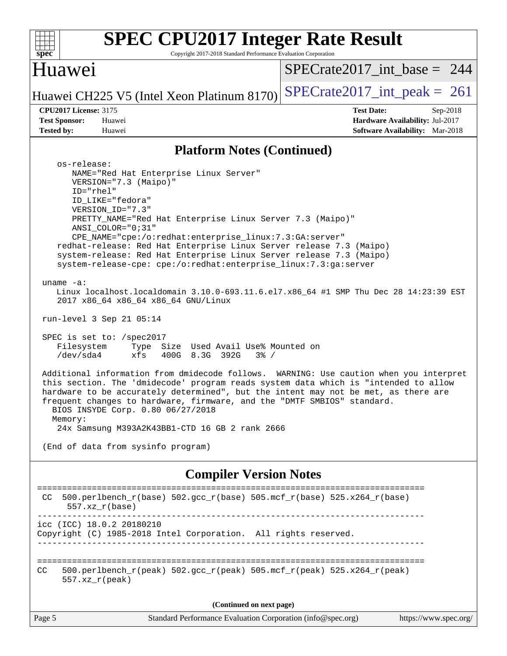| <b>SPEC CPU2017 Integer Rate Result</b><br>$s\overline{pec}$<br>Copyright 2017-2018 Standard Performance Evaluation Corporation                                                                                                                                                                                                                                                                                                                                                                                                                                                                                                                                                                                                                                                                                                                                                                                                                                                                                                                                                                                                                                                                                                                                                                                       |                                                                                                              |  |  |  |  |
|-----------------------------------------------------------------------------------------------------------------------------------------------------------------------------------------------------------------------------------------------------------------------------------------------------------------------------------------------------------------------------------------------------------------------------------------------------------------------------------------------------------------------------------------------------------------------------------------------------------------------------------------------------------------------------------------------------------------------------------------------------------------------------------------------------------------------------------------------------------------------------------------------------------------------------------------------------------------------------------------------------------------------------------------------------------------------------------------------------------------------------------------------------------------------------------------------------------------------------------------------------------------------------------------------------------------------|--------------------------------------------------------------------------------------------------------------|--|--|--|--|
| Huawei                                                                                                                                                                                                                                                                                                                                                                                                                                                                                                                                                                                                                                                                                                                                                                                                                                                                                                                                                                                                                                                                                                                                                                                                                                                                                                                | $SPECrate2017\_int\_base = 244$                                                                              |  |  |  |  |
| Huawei CH225 V5 (Intel Xeon Platinum 8170)                                                                                                                                                                                                                                                                                                                                                                                                                                                                                                                                                                                                                                                                                                                                                                                                                                                                                                                                                                                                                                                                                                                                                                                                                                                                            | $SPECrate2017\_int\_peak = 261$                                                                              |  |  |  |  |
| <b>CPU2017 License: 3175</b><br><b>Test Sponsor:</b><br>Huawei<br><b>Tested by:</b><br>Huawei                                                                                                                                                                                                                                                                                                                                                                                                                                                                                                                                                                                                                                                                                                                                                                                                                                                                                                                                                                                                                                                                                                                                                                                                                         | <b>Test Date:</b><br>$Sep-2018$<br>Hardware Availability: Jul-2017<br><b>Software Availability:</b> Mar-2018 |  |  |  |  |
| <b>Platform Notes (Continued)</b>                                                                                                                                                                                                                                                                                                                                                                                                                                                                                                                                                                                                                                                                                                                                                                                                                                                                                                                                                                                                                                                                                                                                                                                                                                                                                     |                                                                                                              |  |  |  |  |
| os-release:<br>NAME="Red Hat Enterprise Linux Server"<br>VERSION="7.3 (Maipo)"<br>ID="rhel"<br>ID_LIKE="fedora"<br>VERSION_ID="7.3"<br>PRETTY_NAME="Red Hat Enterprise Linux Server 7.3 (Maipo)"<br>ANSI_COLOR="0;31"<br>CPE_NAME="cpe:/o:redhat:enterprise_linux:7.3:GA:server"<br>redhat-release: Red Hat Enterprise Linux Server release 7.3 (Maipo)<br>system-release: Red Hat Enterprise Linux Server release 7.3 (Maipo)<br>system-release-cpe: cpe:/o:redhat:enterprise_linux:7.3:ga:server<br>uname $-a$ :<br>Linux localhost.localdomain 3.10.0-693.11.6.el7.x86_64 #1 SMP Thu Dec 28 14:23:39 EST<br>2017 x86_64 x86_64 x86_64 GNU/Linux<br>run-level 3 Sep 21 05:14<br>SPEC is set to: /spec2017<br>Filesystem<br>Type Size Used Avail Use% Mounted on<br>/dev/sda4<br>xfs<br>400G 8.3G 392G<br>$3\frac{6}{5}$ /<br>Additional information from dmidecode follows. WARNING: Use caution when you interpret<br>this section. The 'dmidecode' program reads system data which is "intended to allow<br>hardware to be accurately determined", but the intent may not be met, as there are<br>frequent changes to hardware, firmware, and the "DMTF SMBIOS" standard.<br>BIOS INSYDE Corp. 0.80 06/27/2018<br>Memory:<br>24x Samsung M393A2K43BB1-CTD 16 GB 2 rank 2666<br>(End of data from sysinfo program) |                                                                                                              |  |  |  |  |
| <b>Compiler Version Notes</b>                                                                                                                                                                                                                                                                                                                                                                                                                                                                                                                                                                                                                                                                                                                                                                                                                                                                                                                                                                                                                                                                                                                                                                                                                                                                                         |                                                                                                              |  |  |  |  |
| 500.perlbench_r(base) 502.gcc_r(base) 505.mcf_r(base) 525.x264_r(base)<br>CC.<br>$557.xx$ $r(base)$                                                                                                                                                                                                                                                                                                                                                                                                                                                                                                                                                                                                                                                                                                                                                                                                                                                                                                                                                                                                                                                                                                                                                                                                                   | ======================                                                                                       |  |  |  |  |
| icc (ICC) 18.0.2 20180210<br>Copyright (C) 1985-2018 Intel Corporation. All rights reserved.                                                                                                                                                                                                                                                                                                                                                                                                                                                                                                                                                                                                                                                                                                                                                                                                                                                                                                                                                                                                                                                                                                                                                                                                                          |                                                                                                              |  |  |  |  |
| 500.perlbench_r(peak) 502.gcc_r(peak) 505.mcf_r(peak) 525.x264_r(peak)<br>CC<br>$557. xz_r (peak)$                                                                                                                                                                                                                                                                                                                                                                                                                                                                                                                                                                                                                                                                                                                                                                                                                                                                                                                                                                                                                                                                                                                                                                                                                    |                                                                                                              |  |  |  |  |
| (Continued on next page)                                                                                                                                                                                                                                                                                                                                                                                                                                                                                                                                                                                                                                                                                                                                                                                                                                                                                                                                                                                                                                                                                                                                                                                                                                                                                              |                                                                                                              |  |  |  |  |
| Page 5<br>Standard Performance Evaluation Corporation (info@spec.org)                                                                                                                                                                                                                                                                                                                                                                                                                                                                                                                                                                                                                                                                                                                                                                                                                                                                                                                                                                                                                                                                                                                                                                                                                                                 | https://www.spec.org/                                                                                        |  |  |  |  |
|                                                                                                                                                                                                                                                                                                                                                                                                                                                                                                                                                                                                                                                                                                                                                                                                                                                                                                                                                                                                                                                                                                                                                                                                                                                                                                                       |                                                                                                              |  |  |  |  |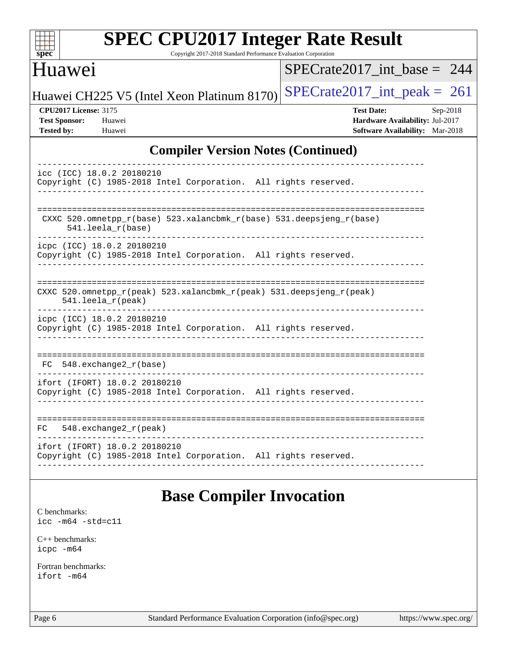| <b>SPEC CPU2017 Integer Rate Result</b><br>spec<br>Copyright 2017-2018 Standard Performance Evaluation Corporation |                                                                                                            |  |  |  |  |  |
|--------------------------------------------------------------------------------------------------------------------|------------------------------------------------------------------------------------------------------------|--|--|--|--|--|
| Huawei                                                                                                             | SPECrate2017 int base = $244$                                                                              |  |  |  |  |  |
| Huawei CH225 V5 (Intel Xeon Platinum 8170)                                                                         | $SPECrate2017\_int\_peak = 261$                                                                            |  |  |  |  |  |
| <b>CPU2017 License: 3175</b><br><b>Test Sponsor:</b><br>Huawei<br><b>Tested by:</b><br>Huawei                      | <b>Test Date:</b><br>Sep-2018<br>Hardware Availability: Jul-2017<br><b>Software Availability:</b> Mar-2018 |  |  |  |  |  |
| <b>Compiler Version Notes (Continued)</b>                                                                          |                                                                                                            |  |  |  |  |  |
| icc (ICC) 18.0.2 20180210<br>Copyright (C) 1985-2018 Intel Corporation. All rights reserved.                       |                                                                                                            |  |  |  |  |  |
| CXXC 520.omnetpp_r(base) 523.xalancbmk_r(base) 531.deepsjeng_r(base)<br>$541.$ leela $r(base)$                     |                                                                                                            |  |  |  |  |  |
| icpc (ICC) 18.0.2 20180210<br>Copyright (C) 1985-2018 Intel Corporation. All rights reserved.                      |                                                                                                            |  |  |  |  |  |
| CXXC 520.omnetpp_r(peak) 523.xalancbmk_r(peak) 531.deepsjeng_r(peak)<br>$541.$ leela_r(peak)                       |                                                                                                            |  |  |  |  |  |
| icpc (ICC) 18.0.2 20180210<br>Copyright (C) 1985-2018 Intel Corporation. All rights reserved.                      |                                                                                                            |  |  |  |  |  |
| 548.exchange2 r(base)<br>FC                                                                                        |                                                                                                            |  |  |  |  |  |
| ifort (IFORT) 18.0.2 20180210<br>Copyright (C) 1985-2018 Intel Corporation. All rights reserved.                   |                                                                                                            |  |  |  |  |  |
| 548.exchange2_r(peak)<br>FC.                                                                                       | ---------------------------------                                                                          |  |  |  |  |  |
| ifort (IFORT) 18.0.2 20180210<br>Copyright (C) 1985-2018 Intel Corporation. All rights reserved.                   |                                                                                                            |  |  |  |  |  |
| <b>Base Compiler Invocation</b><br>C benchmarks:<br>$\texttt{icc -m64 -std=cl1}$                                   |                                                                                                            |  |  |  |  |  |

[C++ benchmarks:](http://www.spec.org/auto/cpu2017/Docs/result-fields.html#CXXbenchmarks) [icpc -m64](http://www.spec.org/cpu2017/results/res2018q4/cpu2017-20180924-08934.flags.html#user_CXXbase_intel_icpc_64bit_4ecb2543ae3f1412ef961e0650ca070fec7b7afdcd6ed48761b84423119d1bf6bdf5cad15b44d48e7256388bc77273b966e5eb805aefd121eb22e9299b2ec9d9)

[Fortran benchmarks](http://www.spec.org/auto/cpu2017/Docs/result-fields.html#Fortranbenchmarks): [ifort -m64](http://www.spec.org/cpu2017/results/res2018q4/cpu2017-20180924-08934.flags.html#user_FCbase_intel_ifort_64bit_24f2bb282fbaeffd6157abe4f878425411749daecae9a33200eee2bee2fe76f3b89351d69a8130dd5949958ce389cf37ff59a95e7a40d588e8d3a57e0c3fd751)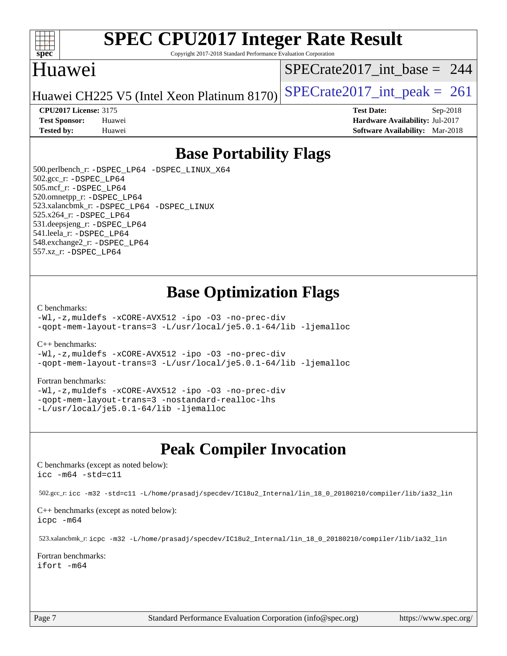

Copyright 2017-2018 Standard Performance Evaluation Corporation

## Huawei

[SPECrate2017\\_int\\_base =](http://www.spec.org/auto/cpu2017/Docs/result-fields.html#SPECrate2017intbase) 244

Huawei CH225 V5 (Intel Xeon Platinum 8170) SPECrate  $2017$  int peak = 261

**[CPU2017 License:](http://www.spec.org/auto/cpu2017/Docs/result-fields.html#CPU2017License)** 3175 **[Test Date:](http://www.spec.org/auto/cpu2017/Docs/result-fields.html#TestDate)** Sep-2018 **[Test Sponsor:](http://www.spec.org/auto/cpu2017/Docs/result-fields.html#TestSponsor)** Huawei **[Hardware Availability:](http://www.spec.org/auto/cpu2017/Docs/result-fields.html#HardwareAvailability)** Jul-2017 **[Tested by:](http://www.spec.org/auto/cpu2017/Docs/result-fields.html#Testedby)** Huawei **[Software Availability:](http://www.spec.org/auto/cpu2017/Docs/result-fields.html#SoftwareAvailability)** Mar-2018

# **[Base Portability Flags](http://www.spec.org/auto/cpu2017/Docs/result-fields.html#BasePortabilityFlags)**

 500.perlbench\_r: [-DSPEC\\_LP64](http://www.spec.org/cpu2017/results/res2018q4/cpu2017-20180924-08934.flags.html#b500.perlbench_r_basePORTABILITY_DSPEC_LP64) [-DSPEC\\_LINUX\\_X64](http://www.spec.org/cpu2017/results/res2018q4/cpu2017-20180924-08934.flags.html#b500.perlbench_r_baseCPORTABILITY_DSPEC_LINUX_X64) 502.gcc\_r: [-DSPEC\\_LP64](http://www.spec.org/cpu2017/results/res2018q4/cpu2017-20180924-08934.flags.html#suite_basePORTABILITY502_gcc_r_DSPEC_LP64) 505.mcf\_r: [-DSPEC\\_LP64](http://www.spec.org/cpu2017/results/res2018q4/cpu2017-20180924-08934.flags.html#suite_basePORTABILITY505_mcf_r_DSPEC_LP64) 520.omnetpp\_r: [-DSPEC\\_LP64](http://www.spec.org/cpu2017/results/res2018q4/cpu2017-20180924-08934.flags.html#suite_basePORTABILITY520_omnetpp_r_DSPEC_LP64) 523.xalancbmk\_r: [-DSPEC\\_LP64](http://www.spec.org/cpu2017/results/res2018q4/cpu2017-20180924-08934.flags.html#suite_basePORTABILITY523_xalancbmk_r_DSPEC_LP64) [-DSPEC\\_LINUX](http://www.spec.org/cpu2017/results/res2018q4/cpu2017-20180924-08934.flags.html#b523.xalancbmk_r_baseCXXPORTABILITY_DSPEC_LINUX) 525.x264\_r: [-DSPEC\\_LP64](http://www.spec.org/cpu2017/results/res2018q4/cpu2017-20180924-08934.flags.html#suite_basePORTABILITY525_x264_r_DSPEC_LP64) 531.deepsjeng\_r: [-DSPEC\\_LP64](http://www.spec.org/cpu2017/results/res2018q4/cpu2017-20180924-08934.flags.html#suite_basePORTABILITY531_deepsjeng_r_DSPEC_LP64) 541.leela\_r: [-DSPEC\\_LP64](http://www.spec.org/cpu2017/results/res2018q4/cpu2017-20180924-08934.flags.html#suite_basePORTABILITY541_leela_r_DSPEC_LP64) 548.exchange2\_r: [-DSPEC\\_LP64](http://www.spec.org/cpu2017/results/res2018q4/cpu2017-20180924-08934.flags.html#suite_basePORTABILITY548_exchange2_r_DSPEC_LP64) 557.xz\_r: [-DSPEC\\_LP64](http://www.spec.org/cpu2017/results/res2018q4/cpu2017-20180924-08934.flags.html#suite_basePORTABILITY557_xz_r_DSPEC_LP64)

# **[Base Optimization Flags](http://www.spec.org/auto/cpu2017/Docs/result-fields.html#BaseOptimizationFlags)**

[C benchmarks](http://www.spec.org/auto/cpu2017/Docs/result-fields.html#Cbenchmarks):

[-Wl,-z,muldefs](http://www.spec.org/cpu2017/results/res2018q4/cpu2017-20180924-08934.flags.html#user_CCbase_link_force_multiple1_b4cbdb97b34bdee9ceefcfe54f4c8ea74255f0b02a4b23e853cdb0e18eb4525ac79b5a88067c842dd0ee6996c24547a27a4b99331201badda8798ef8a743f577) [-xCORE-AVX512](http://www.spec.org/cpu2017/results/res2018q4/cpu2017-20180924-08934.flags.html#user_CCbase_f-xCORE-AVX512) [-ipo](http://www.spec.org/cpu2017/results/res2018q4/cpu2017-20180924-08934.flags.html#user_CCbase_f-ipo) [-O3](http://www.spec.org/cpu2017/results/res2018q4/cpu2017-20180924-08934.flags.html#user_CCbase_f-O3) [-no-prec-div](http://www.spec.org/cpu2017/results/res2018q4/cpu2017-20180924-08934.flags.html#user_CCbase_f-no-prec-div) [-qopt-mem-layout-trans=3](http://www.spec.org/cpu2017/results/res2018q4/cpu2017-20180924-08934.flags.html#user_CCbase_f-qopt-mem-layout-trans_de80db37974c74b1f0e20d883f0b675c88c3b01e9d123adea9b28688d64333345fb62bc4a798493513fdb68f60282f9a726aa07f478b2f7113531aecce732043) [-L/usr/local/je5.0.1-64/lib](http://www.spec.org/cpu2017/results/res2018q4/cpu2017-20180924-08934.flags.html#user_CCbase_jemalloc_link_path64_4b10a636b7bce113509b17f3bd0d6226c5fb2346b9178c2d0232c14f04ab830f976640479e5c33dc2bcbbdad86ecfb6634cbbd4418746f06f368b512fced5394) [-ljemalloc](http://www.spec.org/cpu2017/results/res2018q4/cpu2017-20180924-08934.flags.html#user_CCbase_jemalloc_link_lib_d1249b907c500fa1c0672f44f562e3d0f79738ae9e3c4a9c376d49f265a04b9c99b167ecedbf6711b3085be911c67ff61f150a17b3472be731631ba4d0471706)

[C++ benchmarks:](http://www.spec.org/auto/cpu2017/Docs/result-fields.html#CXXbenchmarks)

[-Wl,-z,muldefs](http://www.spec.org/cpu2017/results/res2018q4/cpu2017-20180924-08934.flags.html#user_CXXbase_link_force_multiple1_b4cbdb97b34bdee9ceefcfe54f4c8ea74255f0b02a4b23e853cdb0e18eb4525ac79b5a88067c842dd0ee6996c24547a27a4b99331201badda8798ef8a743f577) [-xCORE-AVX512](http://www.spec.org/cpu2017/results/res2018q4/cpu2017-20180924-08934.flags.html#user_CXXbase_f-xCORE-AVX512) [-ipo](http://www.spec.org/cpu2017/results/res2018q4/cpu2017-20180924-08934.flags.html#user_CXXbase_f-ipo) [-O3](http://www.spec.org/cpu2017/results/res2018q4/cpu2017-20180924-08934.flags.html#user_CXXbase_f-O3) [-no-prec-div](http://www.spec.org/cpu2017/results/res2018q4/cpu2017-20180924-08934.flags.html#user_CXXbase_f-no-prec-div) [-qopt-mem-layout-trans=3](http://www.spec.org/cpu2017/results/res2018q4/cpu2017-20180924-08934.flags.html#user_CXXbase_f-qopt-mem-layout-trans_de80db37974c74b1f0e20d883f0b675c88c3b01e9d123adea9b28688d64333345fb62bc4a798493513fdb68f60282f9a726aa07f478b2f7113531aecce732043) [-L/usr/local/je5.0.1-64/lib](http://www.spec.org/cpu2017/results/res2018q4/cpu2017-20180924-08934.flags.html#user_CXXbase_jemalloc_link_path64_4b10a636b7bce113509b17f3bd0d6226c5fb2346b9178c2d0232c14f04ab830f976640479e5c33dc2bcbbdad86ecfb6634cbbd4418746f06f368b512fced5394) [-ljemalloc](http://www.spec.org/cpu2017/results/res2018q4/cpu2017-20180924-08934.flags.html#user_CXXbase_jemalloc_link_lib_d1249b907c500fa1c0672f44f562e3d0f79738ae9e3c4a9c376d49f265a04b9c99b167ecedbf6711b3085be911c67ff61f150a17b3472be731631ba4d0471706)

#### [Fortran benchmarks](http://www.spec.org/auto/cpu2017/Docs/result-fields.html#Fortranbenchmarks):

[-Wl,-z,muldefs](http://www.spec.org/cpu2017/results/res2018q4/cpu2017-20180924-08934.flags.html#user_FCbase_link_force_multiple1_b4cbdb97b34bdee9ceefcfe54f4c8ea74255f0b02a4b23e853cdb0e18eb4525ac79b5a88067c842dd0ee6996c24547a27a4b99331201badda8798ef8a743f577) [-xCORE-AVX512](http://www.spec.org/cpu2017/results/res2018q4/cpu2017-20180924-08934.flags.html#user_FCbase_f-xCORE-AVX512) [-ipo](http://www.spec.org/cpu2017/results/res2018q4/cpu2017-20180924-08934.flags.html#user_FCbase_f-ipo) [-O3](http://www.spec.org/cpu2017/results/res2018q4/cpu2017-20180924-08934.flags.html#user_FCbase_f-O3) [-no-prec-div](http://www.spec.org/cpu2017/results/res2018q4/cpu2017-20180924-08934.flags.html#user_FCbase_f-no-prec-div) [-qopt-mem-layout-trans=3](http://www.spec.org/cpu2017/results/res2018q4/cpu2017-20180924-08934.flags.html#user_FCbase_f-qopt-mem-layout-trans_de80db37974c74b1f0e20d883f0b675c88c3b01e9d123adea9b28688d64333345fb62bc4a798493513fdb68f60282f9a726aa07f478b2f7113531aecce732043) [-nostandard-realloc-lhs](http://www.spec.org/cpu2017/results/res2018q4/cpu2017-20180924-08934.flags.html#user_FCbase_f_2003_std_realloc_82b4557e90729c0f113870c07e44d33d6f5a304b4f63d4c15d2d0f1fab99f5daaed73bdb9275d9ae411527f28b936061aa8b9c8f2d63842963b95c9dd6426b8a) [-L/usr/local/je5.0.1-64/lib](http://www.spec.org/cpu2017/results/res2018q4/cpu2017-20180924-08934.flags.html#user_FCbase_jemalloc_link_path64_4b10a636b7bce113509b17f3bd0d6226c5fb2346b9178c2d0232c14f04ab830f976640479e5c33dc2bcbbdad86ecfb6634cbbd4418746f06f368b512fced5394) [-ljemalloc](http://www.spec.org/cpu2017/results/res2018q4/cpu2017-20180924-08934.flags.html#user_FCbase_jemalloc_link_lib_d1249b907c500fa1c0672f44f562e3d0f79738ae9e3c4a9c376d49f265a04b9c99b167ecedbf6711b3085be911c67ff61f150a17b3472be731631ba4d0471706)

# **[Peak Compiler Invocation](http://www.spec.org/auto/cpu2017/Docs/result-fields.html#PeakCompilerInvocation)**

[C benchmarks \(except as noted below\)](http://www.spec.org/auto/cpu2017/Docs/result-fields.html#Cbenchmarksexceptasnotedbelow): [icc -m64 -std=c11](http://www.spec.org/cpu2017/results/res2018q4/cpu2017-20180924-08934.flags.html#user_CCpeak_intel_icc_64bit_c11_33ee0cdaae7deeeab2a9725423ba97205ce30f63b9926c2519791662299b76a0318f32ddfffdc46587804de3178b4f9328c46fa7c2b0cd779d7a61945c91cd35)

502.gcc\_r: [icc -m32 -std=c11 -L/home/prasadj/specdev/IC18u2\\_Internal/lin\\_18\\_0\\_20180210/compiler/lib/ia32\\_lin](http://www.spec.org/cpu2017/results/res2018q4/cpu2017-20180924-08934.flags.html#user_peakCCLD502_gcc_r_intel_icc_a481ac844e7127046fad14d498c730a1848fa901fbbb2c3dfdd5e9fbbac777c8009953946d55d8b6afe8ed0da70dd2b4f8dedbdf7ab1ee211ba70d24a5d89f85)

[C++ benchmarks \(except as noted below\):](http://www.spec.org/auto/cpu2017/Docs/result-fields.html#CXXbenchmarksexceptasnotedbelow) [icpc -m64](http://www.spec.org/cpu2017/results/res2018q4/cpu2017-20180924-08934.flags.html#user_CXXpeak_intel_icpc_64bit_4ecb2543ae3f1412ef961e0650ca070fec7b7afdcd6ed48761b84423119d1bf6bdf5cad15b44d48e7256388bc77273b966e5eb805aefd121eb22e9299b2ec9d9)

523.xalancbmk\_r: [icpc -m32 -L/home/prasadj/specdev/IC18u2\\_Internal/lin\\_18\\_0\\_20180210/compiler/lib/ia32\\_lin](http://www.spec.org/cpu2017/results/res2018q4/cpu2017-20180924-08934.flags.html#user_peakCXXLD523_xalancbmk_r_intel_icpc_c6d030cd79af6ea7d6fb64c57e8fe7ae8fe0b96fc5a3b3f4a10e3273b3d7fa9decd8263f6330cef23f751cb093a69fae84a2bf4c243500a8eed069248128076f)

[Fortran benchmarks](http://www.spec.org/auto/cpu2017/Docs/result-fields.html#Fortranbenchmarks): [ifort -m64](http://www.spec.org/cpu2017/results/res2018q4/cpu2017-20180924-08934.flags.html#user_FCpeak_intel_ifort_64bit_24f2bb282fbaeffd6157abe4f878425411749daecae9a33200eee2bee2fe76f3b89351d69a8130dd5949958ce389cf37ff59a95e7a40d588e8d3a57e0c3fd751)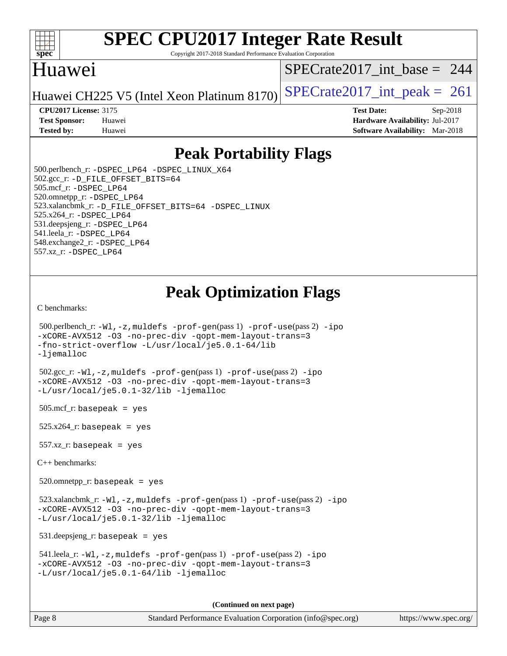

Copyright 2017-2018 Standard Performance Evaluation Corporation

# Huawei

[SPECrate2017\\_int\\_base =](http://www.spec.org/auto/cpu2017/Docs/result-fields.html#SPECrate2017intbase) 244

Huawei CH225 V5 (Intel Xeon Platinum 8170) SPECrate  $2017$  int peak = 261

**[CPU2017 License:](http://www.spec.org/auto/cpu2017/Docs/result-fields.html#CPU2017License)** 3175 **[Test Date:](http://www.spec.org/auto/cpu2017/Docs/result-fields.html#TestDate)** Sep-2018 **[Test Sponsor:](http://www.spec.org/auto/cpu2017/Docs/result-fields.html#TestSponsor)** Huawei **[Hardware Availability:](http://www.spec.org/auto/cpu2017/Docs/result-fields.html#HardwareAvailability)** Jul-2017 **[Tested by:](http://www.spec.org/auto/cpu2017/Docs/result-fields.html#Testedby)** Huawei **[Software Availability:](http://www.spec.org/auto/cpu2017/Docs/result-fields.html#SoftwareAvailability)** Mar-2018

# **[Peak Portability Flags](http://www.spec.org/auto/cpu2017/Docs/result-fields.html#PeakPortabilityFlags)**

 500.perlbench\_r: [-DSPEC\\_LP64](http://www.spec.org/cpu2017/results/res2018q4/cpu2017-20180924-08934.flags.html#b500.perlbench_r_peakPORTABILITY_DSPEC_LP64) [-DSPEC\\_LINUX\\_X64](http://www.spec.org/cpu2017/results/res2018q4/cpu2017-20180924-08934.flags.html#b500.perlbench_r_peakCPORTABILITY_DSPEC_LINUX_X64) 502.gcc\_r: [-D\\_FILE\\_OFFSET\\_BITS=64](http://www.spec.org/cpu2017/results/res2018q4/cpu2017-20180924-08934.flags.html#user_peakPORTABILITY502_gcc_r_file_offset_bits_64_5ae949a99b284ddf4e95728d47cb0843d81b2eb0e18bdfe74bbf0f61d0b064f4bda2f10ea5eb90e1dcab0e84dbc592acfc5018bc955c18609f94ddb8d550002c) 505.mcf\_r: [-DSPEC\\_LP64](http://www.spec.org/cpu2017/results/res2018q4/cpu2017-20180924-08934.flags.html#suite_peakPORTABILITY505_mcf_r_DSPEC_LP64) 520.omnetpp\_r: [-DSPEC\\_LP64](http://www.spec.org/cpu2017/results/res2018q4/cpu2017-20180924-08934.flags.html#suite_peakPORTABILITY520_omnetpp_r_DSPEC_LP64) 523.xalancbmk\_r: [-D\\_FILE\\_OFFSET\\_BITS=64](http://www.spec.org/cpu2017/results/res2018q4/cpu2017-20180924-08934.flags.html#user_peakPORTABILITY523_xalancbmk_r_file_offset_bits_64_5ae949a99b284ddf4e95728d47cb0843d81b2eb0e18bdfe74bbf0f61d0b064f4bda2f10ea5eb90e1dcab0e84dbc592acfc5018bc955c18609f94ddb8d550002c) [-DSPEC\\_LINUX](http://www.spec.org/cpu2017/results/res2018q4/cpu2017-20180924-08934.flags.html#b523.xalancbmk_r_peakCXXPORTABILITY_DSPEC_LINUX) 525.x264\_r: [-DSPEC\\_LP64](http://www.spec.org/cpu2017/results/res2018q4/cpu2017-20180924-08934.flags.html#suite_peakPORTABILITY525_x264_r_DSPEC_LP64) 531.deepsjeng\_r: [-DSPEC\\_LP64](http://www.spec.org/cpu2017/results/res2018q4/cpu2017-20180924-08934.flags.html#suite_peakPORTABILITY531_deepsjeng_r_DSPEC_LP64) 541.leela\_r: [-DSPEC\\_LP64](http://www.spec.org/cpu2017/results/res2018q4/cpu2017-20180924-08934.flags.html#suite_peakPORTABILITY541_leela_r_DSPEC_LP64) 548.exchange2\_r: [-DSPEC\\_LP64](http://www.spec.org/cpu2017/results/res2018q4/cpu2017-20180924-08934.flags.html#suite_peakPORTABILITY548_exchange2_r_DSPEC_LP64) 557.xz\_r: [-DSPEC\\_LP64](http://www.spec.org/cpu2017/results/res2018q4/cpu2017-20180924-08934.flags.html#suite_peakPORTABILITY557_xz_r_DSPEC_LP64)

# **[Peak Optimization Flags](http://www.spec.org/auto/cpu2017/Docs/result-fields.html#PeakOptimizationFlags)**

[C benchmarks](http://www.spec.org/auto/cpu2017/Docs/result-fields.html#Cbenchmarks):

```
 500.perlbench_r: -Wl,-z,muldefs -prof-gen(pass 1) -prof-use(pass 2) -ipo
-xCORE-AVX512 -O3 -no-prec-div -qopt-mem-layout-trans=3
-fno-strict-overflow -L/usr/local/je5.0.1-64/lib
-ljemalloc
 502.gcc_r: -Wl,-z,muldefs -prof-gen(pass 1) -prof-use(pass 2) -ipo
-xCORE-AVX512 -O3 -no-prec-div -qopt-mem-layout-trans=3
-L/usr/local/je5.0.1-32/lib -ljemalloc
505.\text{mcf}_r: basepeak = yes
525.x264_r: basepeak = yes
 557.xz_r: basepeak = yes
C++ benchmarks: 
 520.omnetpp_r: basepeak = yes
 523.xalancbmk_r: -Wl,-z,muldefs -prof-gen(pass 1) -prof-use(pass 2) -ipo
-xCORE-AVX512 -O3 -no-prec-div -qopt-mem-layout-trans=3
-L/usr/local/je5.0.1-32/lib -ljemalloc
 531.deepsjeng_r: basepeak = yes
 541.leela_r: -Wl,-z,muldefs -prof-gen(pass 1) -prof-use(pass 2) -ipo
-xCORE-AVX512 -O3 -no-prec-div -qopt-mem-layout-trans=3
-L/usr/local/je5.0.1-64/lib -ljemalloc
                                       (Continued on next page)
```